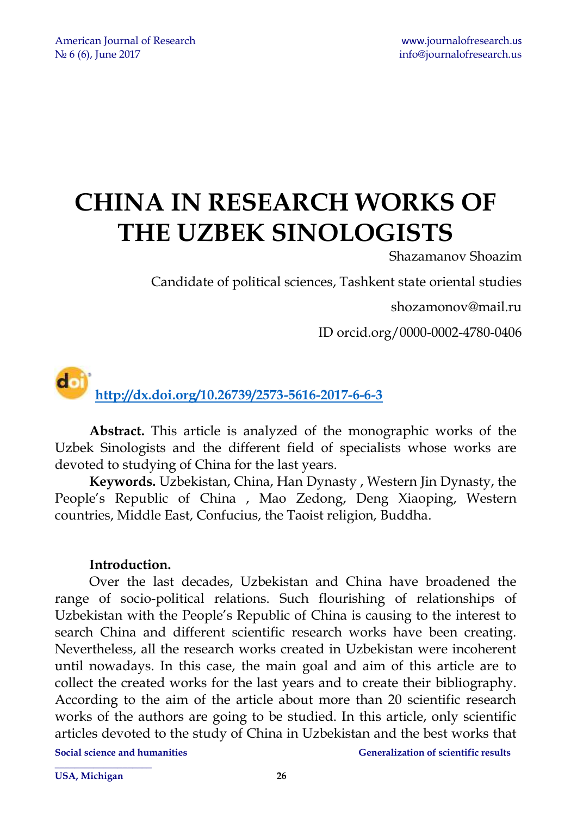# **CHINA IN RESEARCH WORKS OF THE UZBEK SINOLOGISTS**

Shazamanov Shoazim

Candidate of political sciences, Tashkent state oriental studies

[shozamonov@mail.ru](mailto:shozamonov@mail.ru)

ID orcid.org/0000-0002-4780-0406

doi **<http://dx.doi.org/10.26739/2573-5616-2017-6-6-3>**

**Abstract.** This article is analyzed of the monographic works of the Uzbek Sinologists and the different field of specialists whose works are devoted to studying of China for the last years.

**Keywords.** Uzbekistan, China, Han Dynasty , Western Jin Dynasty, the People's Republic of China , Mao Zedong, Deng Xiaoping, Western countries, Middle East, Confucius, the Taoist religion, Buddha.

### **Introduction.**

Over the last decades, Uzbekistan and China have broadened the range of socio-political relations. Such flourishing of relationships of Uzbekistan with the People's Republic of China is causing to the interest to search China and different scientific research works have been creating. Nevertheless, all the research works created in Uzbekistan were incoherent until nowadays. In this case, the main goal and aim of this article are to collect the created works for the last years and to create their bibliography. According to the aim of the article about more than 20 scientific research works of the authors are going to be studied. In this article, only scientific articles devoted to the study of China in Uzbekistan and the best works that

**\_\_\_\_\_\_\_\_\_\_\_\_\_\_\_\_\_\_\_\_** 

**Social science and humanities and incrementally consider the Generalization of scientific results**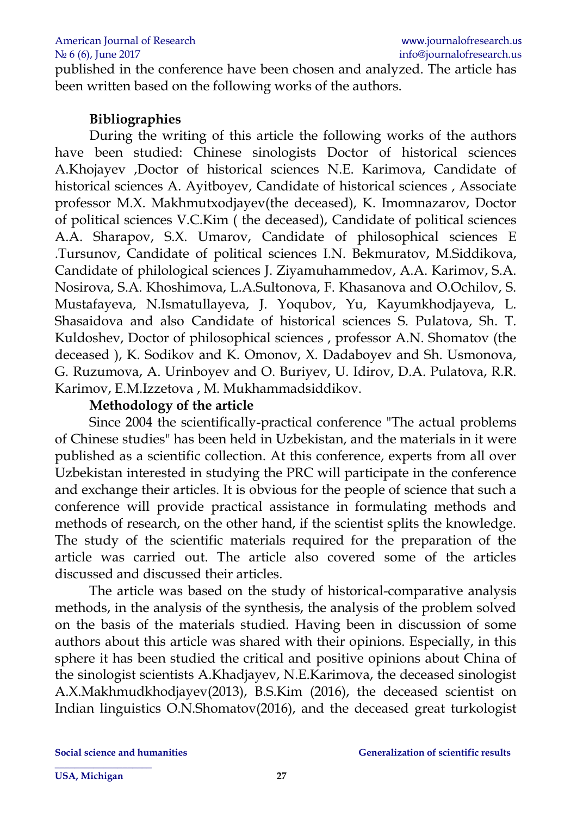published in the conference have been chosen and analyzed. The article has been written based on the following works of the authors.

# **Bibliographies**

During the writing of this article the following works of the authors have been studied: Chinese sinologists Doctor of historical sciences A.Khojayev ,Doctor of historical sciences N.E. Karimova, Candidate of historical sciences A. Ayitboyev, Candidate of historical sciences , Associate professor M.X. Makhmutxodjayev(the deceased), K. Imomnazarov, Doctor of political sciences V.C.Kim ( the deceased), Candidate of political sciences A.A. Sharapov, S.X. Umarov, Candidate of philosophical sciences E .Tursunov, Candidate of political sciences I.N. Bekmuratov, M.Siddikova, Candidate of philological sciences J. Ziyamuhammedov, A.A. Karimov, S.A. Nosirova, S.A. Khoshimova, L.A.Sultonova, F. Khasanova and O.Ochilov, S. Mustafayeva, N.Ismatullayeva, J. Yoqubov, Yu, Kayumkhodjayeva, L. Shasaidova and also Candidate of historical sciences S. Pulatova, Sh. T. Kuldoshev, Doctor of philosophical sciences , professor A.N. Shomatov (the deceased ), K. Sodikov and K. Omonov, X. Dadaboyev and Sh. Usmonova, G. Ruzumova, A. Urinboyev and O. Buriyev, U. Idirov, D.A. Pulatova, R.R. Karimov, E.M.Izzetova , M. Mukhammadsiddikov.

#### **Methodology of the article**

Since 2004 the scientifically-practical conference "The actual problems of Chinese studies" has been held in Uzbekistan, and the materials in it were published as a scientific collection. At this conference, experts from all over Uzbekistan interested in studying the PRC will participate in the conference and exchange their articles. It is obvious for the people of science that such a conference will provide practical assistance in formulating methods and methods of research, on the other hand, if the scientist splits the knowledge. The study of the scientific materials required for the preparation of the article was carried out. The article also covered some of the articles discussed and discussed their articles.

The article was based on the study of historical-comparative analysis methods, in the analysis of the synthesis, the analysis of the problem solved on the basis of the materials studied. Having been in discussion of some authors about this article was shared with their opinions. Especially, in this sphere it has been studied the critical and positive opinions about China of the sinologist scientists A.Khadjayev, N.E.Karimova, the deceased sinologist A.X.Makhmudkhodjayev(2013), B.S.Kim (2016), the deceased scientist on Indian linguistics O.N.Shomatov(2016), and the deceased great turkologist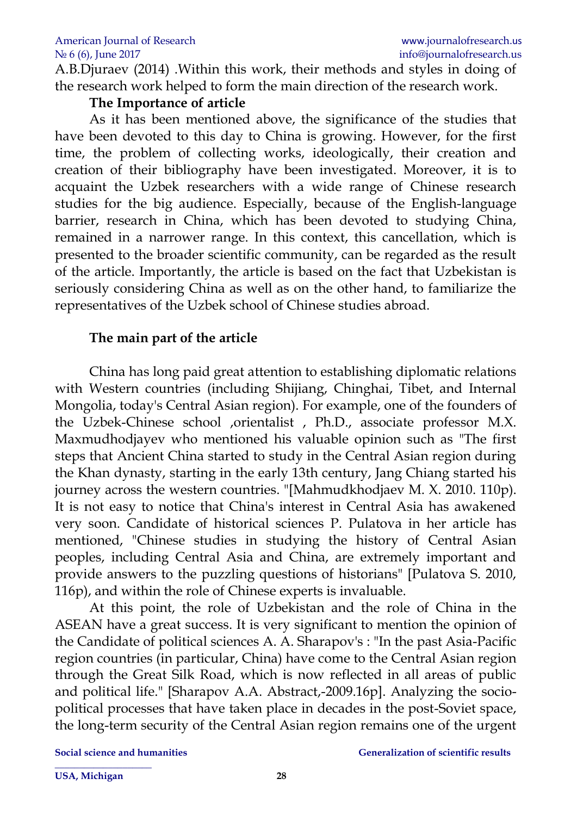A.B.Djuraev (2014) .Within this work, their methods and styles in doing of the research work helped to form the main direction of the research work.

### **The Importance of article**

As it has been mentioned above, the significance of the studies that have been devoted to this day to China is growing. However, for the first time, the problem of collecting works, ideologically, their creation and creation of their bibliography have been investigated. Moreover, it is to acquaint the Uzbek researchers with a wide range of Chinese research studies for the big audience. Especially, because of the English-language barrier, research in China, which has been devoted to studying China, remained in a narrower range. In this context, this cancellation, which is presented to the broader scientific community, can be regarded as the result of the article. Importantly, the article is based on the fact that Uzbekistan is seriously considering China as well as on the other hand, to familiarize the representatives of the Uzbek school of Chinese studies abroad.

# **The main part of the article**

China has long paid great attention to establishing diplomatic relations with Western countries (including Shijiang, Chinghai, Tibet, and Internal Mongolia, today's Central Asian region). For example, one of the founders of the Uzbek-Chinese school ,orientalist , Ph.D., associate professor M.X. Maxmudhodjayev who mentioned his valuable opinion such as "The first steps that Ancient China started to study in the Central Asian region during the Khan dynasty, starting in the early 13th century, Jang Chiang started his journey across the western countries. "[Mahmudkhodjaev M. X. 2010. 110p). It is not easy to notice that China's interest in Central Asia has awakened very soon. Candidate of historical sciences P. Pulatova in her article has mentioned, "Chinese studies in studying the history of Central Asian peoples, including Central Asia and China, are extremely important and provide answers to the puzzling questions of historians" [Pulatova S. 2010, 116p), and within the role of Chinese experts is invaluable.

At this point, the role of Uzbekistan and the role of China in the ASEAN have a great success. It is very significant to mention the opinion of the Candidate of political sciences A. A. Sharapov's : "In the past Asia-Pacific region countries (in particular, China) have come to the Central Asian region through the Great Silk Road, which is now reflected in all areas of public and political life." [Sharapov A.A. Abstract,-2009.16p]. Analyzing the sociopolitical processes that have taken place in decades in the post-Soviet space, the long-term security of the Central Asian region remains one of the urgent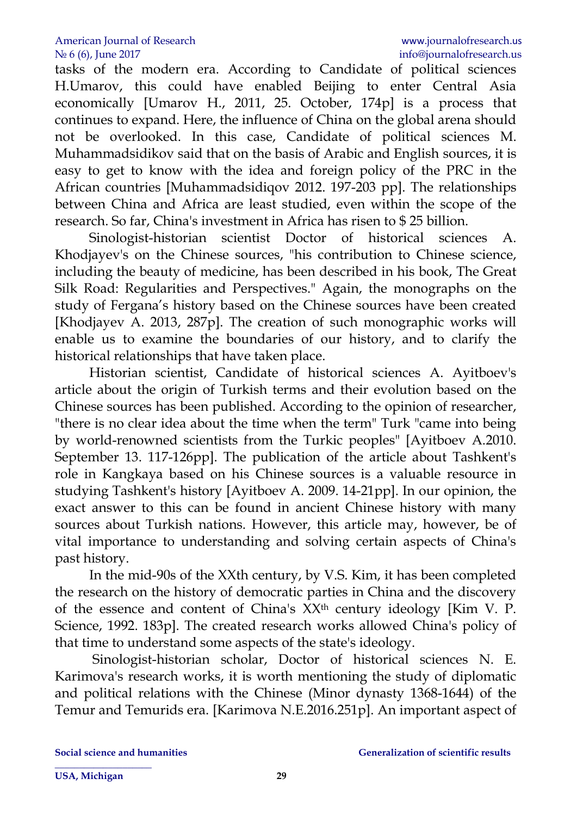tasks of the modern era. According to Candidate of political sciences H.Umarov, this could have enabled Beijing to enter Central Asia economically [Umarov H., 2011, 25. October, 174p] is a process that continues to expand. Here, the influence of China on the global arena should not be overlooked. In this case, Candidate of political sciences M. Muhammadsidikov said that on the basis of Arabic and English sources, it is easy to get to know with the idea and foreign policy of the PRC in the African countries [Muhammadsidiqov 2012. 197-203 pp]. The relationships between China and Africa are least studied, even within the scope of the research. So far, China's investment in Africa has risen to \$ 25 billion.

Sinologist-historian scientist Doctor of historical sciences A. Khodjayev's on the Chinese sources, "his contribution to Chinese science, including the beauty of medicine, has been described in his book, The Great Silk Road: Regularities and Perspectives." Again, the monographs on the study of Fergana's history based on the Chinese sources have been created [Khodjayev A. 2013, 287p]. The creation of such monographic works will enable us to examine the boundaries of our history, and to clarify the historical relationships that have taken place.

Historian scientist, Candidate of historical sciences A. Ayitboev's article about the origin of Turkish terms and their evolution based on the Chinese sources has been published. According to the opinion of researcher, "there is no clear idea about the time when the term" Turk "came into being by world-renowned scientists from the Turkic peoples" [Ayitboev A.2010. September 13. 117-126pp]. The publication of the article about Tashkent's role in Kangkaya based on his Chinese sources is a valuable resource in studying Tashkent's history [Ayitboev A. 2009. 14-21pp]. In our opinion, the exact answer to this can be found in ancient Chinese history with many sources about Turkish nations. However, this article may, however, be of vital importance to understanding and solving certain aspects of China's past history.

In the mid-90s of the XXth century, by V.S. Kim, it has been completed the research on the history of democratic parties in China and the discovery of the essence and content of China's XXth century ideology [Kim V. P. Science, 1992. 183p]. The created research works allowed China's policy of that time to understand some aspects of the state's ideology.

Sinologist-historian scholar, Doctor of historical sciences N. E. Karimova's research works, it is worth mentioning the study of diplomatic and political relations with the Chinese (Minor dynasty 1368-1644) of the Temur and Temurids era. [Karimova N.E.2016.251p]. An important aspect of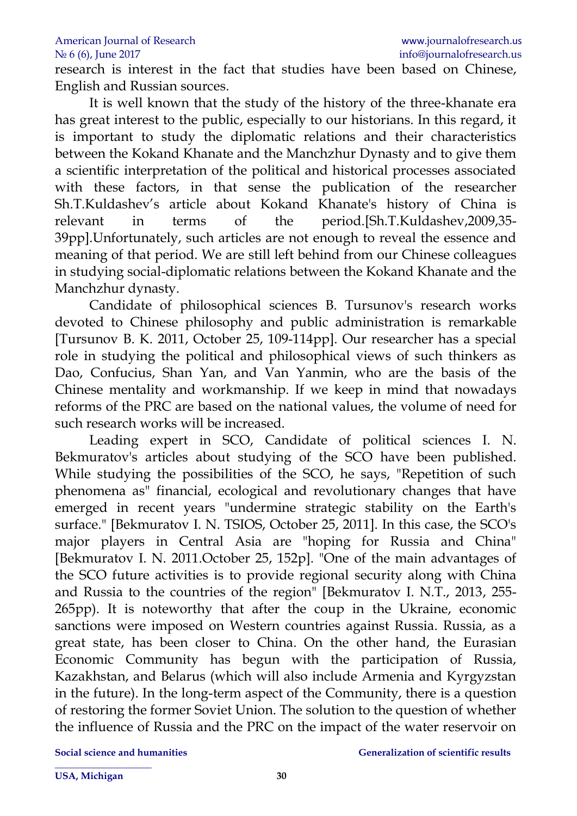research is interest in the fact that studies have been based on Chinese, English and Russian sources.

It is well known that the study of the history of the three-khanate era has great interest to the public, especially to our historians. In this regard, it is important to study the diplomatic relations and their characteristics between the Kokand Khanate and the Manchzhur Dynasty and to give them a scientific interpretation of the political and historical processes associated with these factors, in that sense the publication of the researcher Sh.T.Kuldashev's article about Kokand Khanate's history of China is relevant in terms of the period.[Sh.T.Kuldashev,2009,35- 39pp].Unfortunately, such articles are not enough to reveal the essence and meaning of that period. We are still left behind from our Chinese colleagues in studying social-diplomatic relations between the Kokand Khanate and the Manchzhur dynasty.

Candidate of philosophical sciences B. Tursunov's research works devoted to Chinese philosophy and public administration is remarkable [Tursunov B. K. 2011, October 25, 109-114pp]. Our researcher has a special role in studying the political and philosophical views of such thinkers as Dao, Confucius, Shan Yan, and Van Yanmin, who are the basis of the Chinese mentality and workmanship. If we keep in mind that nowadays reforms of the PRC are based on the national values, the volume of need for such research works will be increased.

Leading expert in SCO, Candidate of political sciences I. N. Bekmuratov's articles about studying of the SCO have been published. While studying the possibilities of the SCO, he says, "Repetition of such phenomena as" financial, ecological and revolutionary changes that have emerged in recent years "undermine strategic stability on the Earth's surface." [Bekmuratov I. N. TSIOS, October 25, 2011]. In this case, the SCO's major players in Central Asia are "hoping for Russia and China" [Bekmuratov I. N. 2011.October 25, 152p]. "One of the main advantages of the SCO future activities is to provide regional security along with China and Russia to the countries of the region" [Bekmuratov I. N.T., 2013, 255- 265pp). It is noteworthy that after the coup in the Ukraine, economic sanctions were imposed on Western countries against Russia. Russia, as a great state, has been closer to China. On the other hand, the Eurasian Economic Community has begun with the participation of Russia, Kazakhstan, and Belarus (which will also include Armenia and Kyrgyzstan in the future). In the long-term aspect of the Community, there is a question of restoring the former Soviet Union. The solution to the question of whether the influence of Russia and the PRC on the impact of the water reservoir on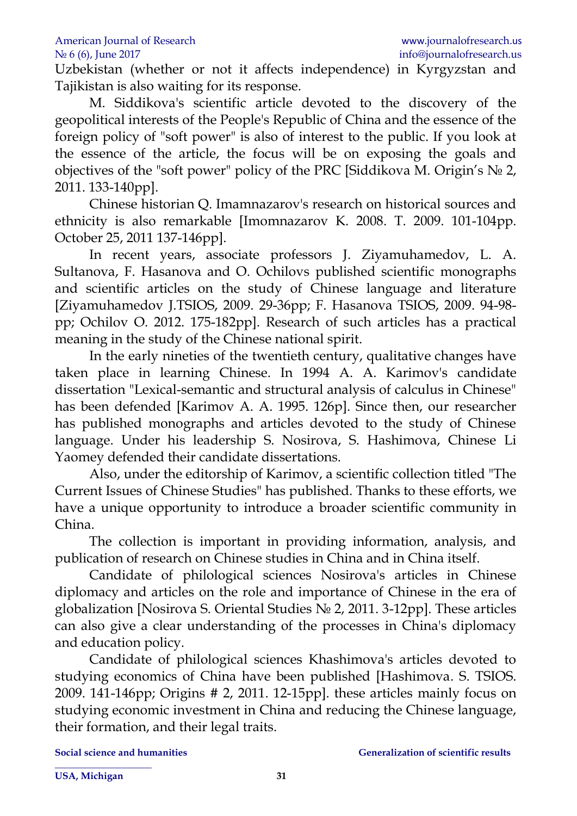Uzbekistan (whether or not it affects independence) in Kyrgyzstan and Tajikistan is also waiting for its response.

M. Siddikova's scientific article devoted to the discovery of the geopolitical interests of the People's Republic of China and the essence of the foreign policy of "soft power" is also of interest to the public. If you look at the essence of the article, the focus will be on exposing the goals and objectives of the "soft power" policy of the PRC [Siddikova M. Origin's № 2, 2011. 133-140pp].

Chinese historian Q. Imamnazarov's research on historical sources and ethnicity is also remarkable [Imomnazarov K. 2008. T. 2009. 101-104pp. October 25, 2011 137-146pp].

In recent years, associate professors J. Ziyamuhamedov, L. A. Sultanova, F. Hasanova and O. Ochilovs published scientific monographs and scientific articles on the study of Chinese language and literature [Ziyamuhamedov J.TSIOS, 2009. 29-36pp; F. Hasanova TSIOS, 2009. 94-98 pp; Ochilov O. 2012. 175-182pp]. Research of such articles has a practical meaning in the study of the Chinese national spirit.

In the early nineties of the twentieth century, qualitative changes have taken place in learning Chinese. In 1994 A. A. Karimov's candidate dissertation "Lexical-semantic and structural analysis of calculus in Chinese" has been defended [Karimov A. A. 1995. 126p]. Since then, our researcher has published monographs and articles devoted to the study of Chinese language. Under his leadership S. Nosirova, S. Hashimova, Chinese Li Yaomey defended their candidate dissertations.

Also, under the editorship of Karimov, a scientific collection titled "The Current Issues of Chinese Studies" has published. Thanks to these efforts, we have a unique opportunity to introduce a broader scientific community in China.

The collection is important in providing information, analysis, and publication of research on Chinese studies in China and in China itself.

Candidate of philological sciences Nosirova's articles in Chinese diplomacy and articles on the role and importance of Chinese in the era of globalization [Nosirova S. Oriental Studies № 2, 2011. 3-12pp]. These articles can also give a clear understanding of the processes in China's diplomacy and education policy.

Candidate of philological sciences Khashimova's articles devoted to studying economics of China have been published [Hashimova. S. TSIOS. 2009. 141-146pp; Origins # 2, 2011. 12-15pp]. these articles mainly focus on studying economic investment in China and reducing the Chinese language, their formation, and their legal traits.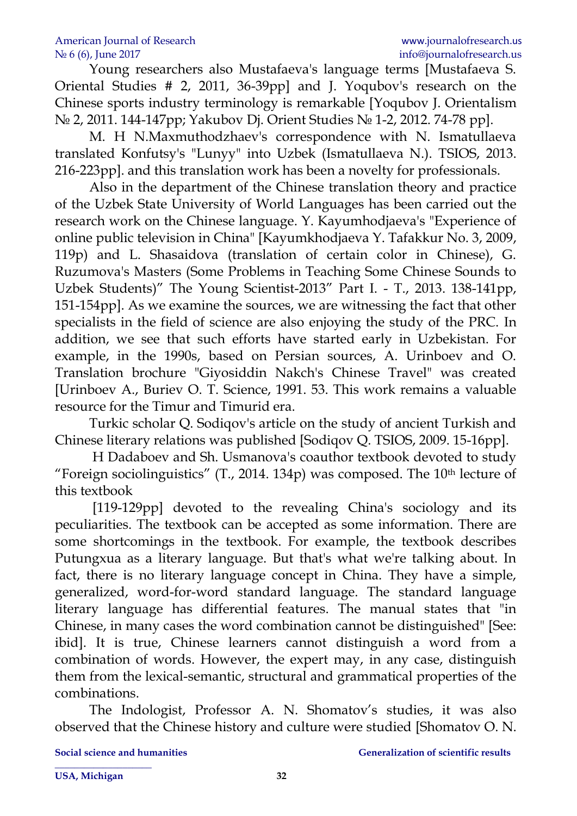Young researchers also Mustafaeva's language terms [Mustafaeva S. Oriental Studies # 2, 2011, 36-39pp] and J. Yoqubov's research on the Chinese sports industry terminology is remarkable [Yoqubov J. Orientalism № 2, 2011. 144-147pp; Yakubov Dj. Orient Studies № 1-2, 2012. 74-78 pp].

M. H N.Maxmuthodzhaev's correspondence with N. Ismatullaeva translated Konfutsy's "Lunyy" into Uzbek (Ismatullaeva N.). TSIOS, 2013. 216-223pp]. and this translation work has been a novelty for professionals.

Also in the department of the Chinese translation theory and practice of the Uzbek State University of World Languages has been carried out the research work on the Chinese language. Y. Kayumhodjaeva's "Experience of online public television in China" [Kayumkhodjaeva Y. Tafakkur No. 3, 2009, 119p) and L. Shasaidova (translation of certain color in Chinese), G. Ruzumova's Masters (Some Problems in Teaching Some Chinese Sounds to Uzbek Students)" The Young Scientist-2013" Part I. - T., 2013. 138-141pp, 151-154pp]. As we examine the sources, we are witnessing the fact that other specialists in the field of science are also enjoying the study of the PRC. In addition, we see that such efforts have started early in Uzbekistan. For example, in the 1990s, based on Persian sources, A. Urinboev and O. Translation brochure "Giyosiddin Nakch's Chinese Travel" was created [Urinboev A., Buriev O. T. Science, 1991. 53. This work remains a valuable resource for the Timur and Timurid era.

Turkic scholar Q. Sodiqov's article on the study of ancient Turkish and Chinese literary relations was published [Sodiqov Q. TSIOS, 2009. 15-16pp].

H Dadaboev and Sh. Usmanova's coauthor textbook devoted to study "Foreign sociolinguistics"  $(T, 2014, 134p)$  was composed. The 10<sup>th</sup> lecture of this textbook

[119-129pp] devoted to the revealing China's sociology and its peculiarities. The textbook can be accepted as some information. There are some shortcomings in the textbook. For example, the textbook describes Putungxua as a literary language. But that's what we're talking about. In fact, there is no literary language concept in China. They have a simple, generalized, word-for-word standard language. The standard language literary language has differential features. The manual states that "in Chinese, in many cases the word combination cannot be distinguished" [See: ibid]. It is true, Chinese learners cannot distinguish a word from a combination of words. However, the expert may, in any case, distinguish them from the lexical-semantic, structural and grammatical properties of the combinations.

The Indologist, Professor A. N. Shomatov's studies, it was also observed that the Chinese history and culture were studied [Shomatov O. N.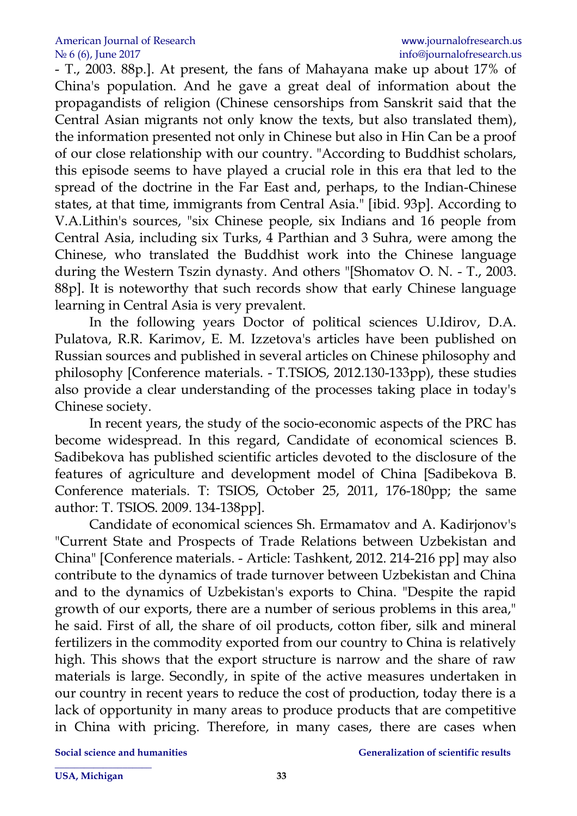- T., 2003. 88p.]. At present, the fans of Mahayana make up about 17% of China's population. And he gave a great deal of information about the propagandists of religion (Chinese censorships from Sanskrit said that the Central Asian migrants not only know the texts, but also translated them), the information presented not only in Chinese but also in Hin Can be a proof of our close relationship with our country. "According to Buddhist scholars, this episode seems to have played a crucial role in this era that led to the spread of the doctrine in the Far East and, perhaps, to the Indian-Chinese states, at that time, immigrants from Central Asia." [ibid. 93p]. According to V.A.Lithin's sources, "six Chinese people, six Indians and 16 people from Central Asia, including six Turks, 4 Parthian and 3 Suhra, were among the Chinese, who translated the Buddhist work into the Chinese language during the Western Tszin dynasty. And others "[Shomatov O. N. - T., 2003. 88p]. It is noteworthy that such records show that early Chinese language learning in Central Asia is very prevalent.

In the following years Doctor of political sciences U.Idirov, D.A. Pulatova, R.R. Karimov, E. M. Izzetova's articles have been published on Russian sources and published in several articles on Chinese philosophy and philosophy [Conference materials. - T.TSIOS, 2012.130-133pp), these studies also provide a clear understanding of the processes taking place in today's Chinese society.

In recent years, the study of the socio-economic aspects of the PRC has become widespread. In this regard, Candidate of economical sciences B. Sadibekova has published scientific articles devoted to the disclosure of the features of agriculture and development model of China [Sadibekova B. Conference materials. T: TSIOS, October 25, 2011, 176-180pp; the same author: T. TSIOS. 2009. 134-138pp].

Candidate of economical sciences Sh. Ermamatov and A. Kadirjonov's "Current State and Prospects of Trade Relations between Uzbekistan and China" [Conference materials. - Article: Tashkent, 2012. 214-216 pp] may also contribute to the dynamics of trade turnover between Uzbekistan and China and to the dynamics of Uzbekistan's exports to China. "Despite the rapid growth of our exports, there are a number of serious problems in this area," he said. First of all, the share of oil products, cotton fiber, silk and mineral fertilizers in the commodity exported from our country to China is relatively high. This shows that the export structure is narrow and the share of raw materials is large. Secondly, in spite of the active measures undertaken in our country in recent years to reduce the cost of production, today there is a lack of opportunity in many areas to produce products that are competitive in China with pricing. Therefore, in many cases, there are cases when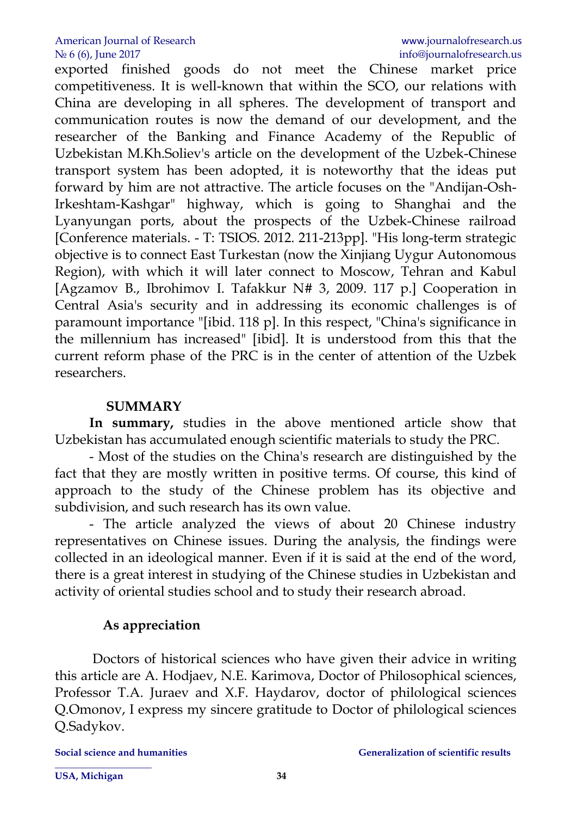exported finished goods do not meet the Chinese market price competitiveness. It is well-known that within the SCO, our relations with China are developing in all spheres. The development of transport and communication routes is now the demand of our development, and the researcher of the Banking and Finance Academy of the Republic of Uzbekistan M.Kh.Soliev's article on the development of the Uzbek-Chinese transport system has been adopted, it is noteworthy that the ideas put forward by him are not attractive. The article focuses on the "Andijan-Osh-Irkeshtam-Kashgar" highway, which is going to Shanghai and the Lyanyungan ports, about the prospects of the Uzbek-Chinese railroad [Conference materials. - T: TSIOS. 2012. 211-213pp]. "His long-term strategic objective is to connect East Turkestan (now the Xinjiang Uygur Autonomous Region), with which it will later connect to Moscow, Tehran and Kabul [Agzamov B., Ibrohimov I. Tafakkur N# 3, 2009. 117 p.] Cooperation in Central Asia's security and in addressing its economic challenges is of paramount importance "[ibid. 118 p]. In this respect, "China's significance in the millennium has increased" [ibid]. It is understood from this that the current reform phase of the PRC is in the center of attention of the Uzbek researchers.

#### **SUMMARY**

**In summary,** studies in the above mentioned article show that Uzbekistan has accumulated enough scientific materials to study the PRC.

- Most of the studies on the China's research are distinguished by the fact that they are mostly written in positive terms. Of course, this kind of approach to the study of the Chinese problem has its objective and subdivision, and such research has its own value.

- The article analyzed the views of about 20 Chinese industry representatives on Chinese issues. During the analysis, the findings were collected in an ideological manner. Even if it is said at the end of the word, there is a great interest in studying of the Chinese studies in Uzbekistan and activity of oriental studies school and to study their research abroad.

#### **As appreciation**

Doctors of historical sciences who have given their advice in writing this article are A. Hodjaev, N.E. Karimova, Doctor of Philosophical sciences, Professor T.A. Juraev and X.F. Haydarov, doctor of philological sciences Q.Omonov, I express my sincere gratitude to Doctor of philological sciences Q.Sadykov.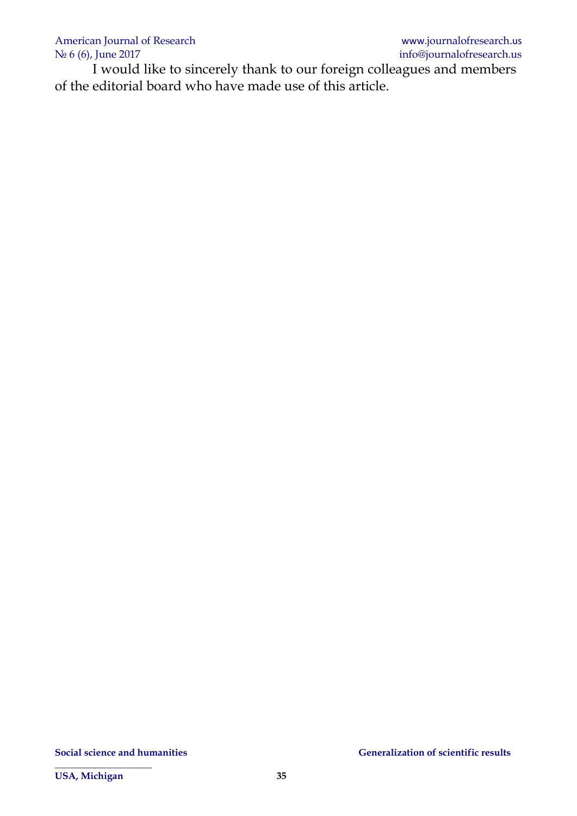I would like to sincerely thank to our foreign colleagues and members of the editorial board who have made use of this article.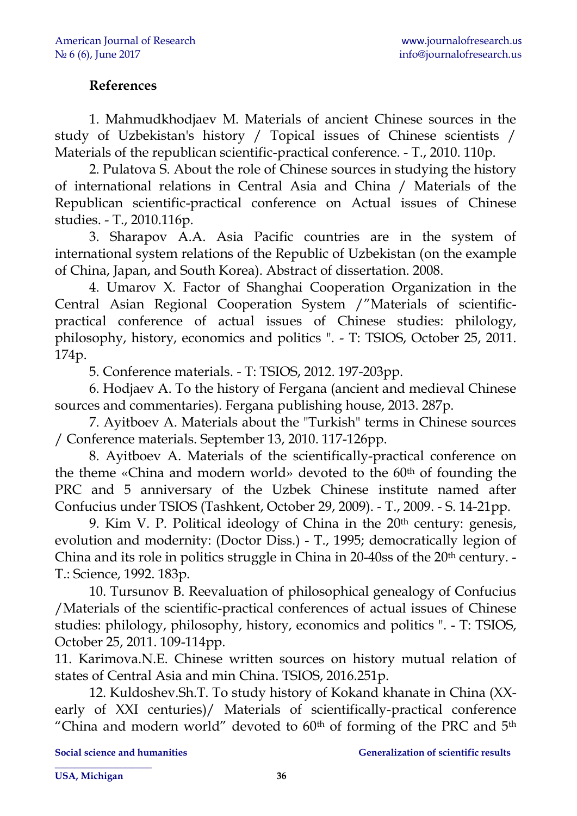### **References**

1. Mahmudkhodjaev M. Materials of ancient Chinese sources in the study of Uzbekistan's history / Topical issues of Chinese scientists / Materials of the republican scientific-practical conference. - T., 2010. 110p.

2. Pulatova S. About the role of Chinese sources in studying the history of international relations in Central Asia and China / Materials of the Republican scientific-practical conference on Actual issues of Chinese studies. - T., 2010.116p.

3. Sharapov А.А. Asia Pacific countries are in the system of international system relations of the Republic of Uzbekistan (on the example of China, Japan, and South Korea). Abstract of dissertation. 2008.

4. Umarov X. Factor of Shanghai Cooperation Organization in the Central Asian Regional Cooperation System /"Materials of scientificpractical conference of actual issues of Chinese studies: philology, philosophy, history, economics and politics ". - T: TSIOS, October 25, 2011. 174p.

5. Conference materials. - T: TSIOS, 2012. 197-203pp.

6. Hodjaev A. To the history of Fergana (ancient and medieval Chinese sources and commentaries). Fergana publishing house, 2013. 287p.

7. Ayitboev A. Materials about the "Turkish" terms in Chinese sources / Conference materials. September 13, 2010. 117-126pp.

8. Ayitboev A. Materials of the scientifically-practical conference on the theme «China and modern world» devoted to the 60<sup>th</sup> of founding the PRC and 5 anniversary of the Uzbek Chinese institute named after Confucius under TSIOS (Tashkent, October 29, 2009). - T., 2009. - S. 14-21pp.

9. Kim V. P. Political ideology of China in the  $20<sup>th</sup>$  century: genesis, evolution and modernity: (Doctor Diss.) - T., 1995; democratically legion of China and its role in politics struggle in China in 20-40ss of the 20<sup>th</sup> century. -T.: Science, 1992. 183p.

10. Tursunov B. Reevaluation of philosophical genealogy of Confucius /Materials of the scientific-practical conferences of actual issues of Chinese studies: philology, philosophy, history, economics and politics ". - T: TSIOS, October 25, 2011. 109-114pp.

11. Karimova.N.E. Chinese written sources on history mutual relation of states of Central Asia and min China. TSIOS, 2016.251p.

12. Kuldoshev.Sh.T. To study history of Kokand khanate in China (XXearly of XXI centuries)/ Materials of scientifically-practical conference "China and modern world" devoted to  $60<sup>th</sup>$  of forming of the PRC and  $5<sup>th</sup>$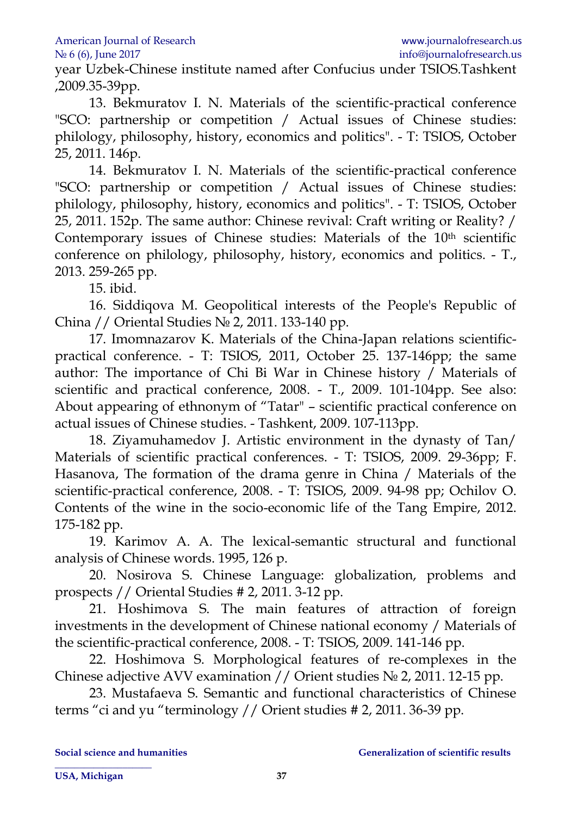year Uzbek-Chinese institute named after Confucius under TSIOS.Tashkent ,2009.35-39pp.

13. Bekmuratov I. N. Materials of the scientific-practical conference "SCO: partnership or competition / Actual issues of Chinese studies: philology, philosophy, history, economics and politics". - T: TSIOS, October 25, 2011. 146p.

14. Bekmuratov I. N. Materials of the scientific-practical conference "SCO: partnership or competition / Actual issues of Chinese studies: philology, philosophy, history, economics and politics". - T: TSIOS, October 25, 2011. 152p. The same author: Chinese revival: Craft writing or Reality? / Contemporary issues of Chinese studies: Materials of the 10<sup>th</sup> scientific conference on philology, philosophy, history, economics and politics. - T., 2013. 259-265 pp.

15. ibid.

16. Siddiqova M. Geopolitical interests of the People's Republic of China // Oriental Studies № 2, 2011. 133-140 pp.

17. Imomnazarov K. Materials of the China-Japan relations scientificpractical conference. - T: TSIOS, 2011, October 25. 137-146pp; the same author: The importance of Chi Bi War in Chinese history / Materials of scientific and practical conference, 2008. - T., 2009. 101-104pp. See also: About appearing of ethnonym of "Tatar" – scientific practical conference on actual issues of Chinese studies. - Tashkent, 2009. 107-113pp.

18. Ziyamuhamedov J. Artistic environment in the dynasty of Tan/ Materials of scientific practical conferences. - T: TSIOS, 2009. 29-36pp; F. Hasanova, The formation of the drama genre in China / Materials of the scientific-practical conference, 2008. - T: TSIOS, 2009. 94-98 pp; Ochilov O. Contents of the wine in the socio-economic life of the Tang Empire, 2012. 175-182 pp.

19. Karimov A. A. The lexical-semantic structural and functional analysis of Chinese words. 1995, 126 p.

20. Nosirova S. Chinese Language: globalization, problems and prospects // Oriental Studies # 2, 2011. 3-12 pp.

21. Hoshimova S. The main features of attraction of foreign investments in the development of Chinese national economy / Materials of the scientific-practical conference, 2008. - T: TSIOS, 2009. 141-146 pp.

22. Hoshimova S. Morphological features of re-complexes in the Chinese adjective AVV examination // Orient studies № 2, 2011. 12-15 pp.

23. Mustafaeva S. Semantic and functional characteristics of Chinese terms "ci and yu "terminology // Orient studies # 2, 2011. 36-39 pp.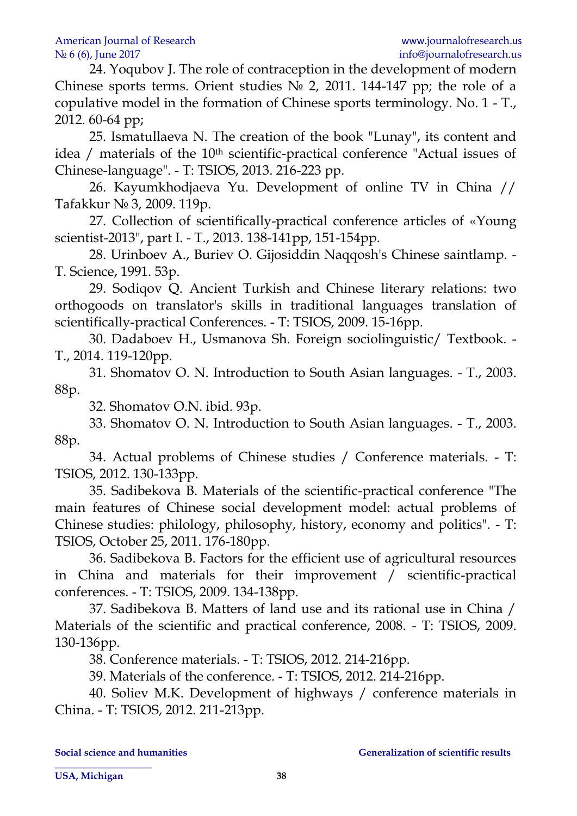24. Yoqubov J. The role of contraception in the development of modern Chinese sports terms. Orient studies  $N_2$  2, 2011. 144-147 pp; the role of a copulative model in the formation of Chinese sports terminology. No. 1 - T., 2012. 60-64 pp;

25. Ismatullaeva N. The creation of the book "Lunay", its content and idea / materials of the 10<sup>th</sup> scientific-practical conference "Actual issues of Chinese-language". - T: TSIOS, 2013. 216-223 pp.

26. Kayumkhodjaeva Yu. Development of online TV in China // Tafakkur № 3, 2009. 119p.

27. Collection of scientifically-practical conference articles of «Young scientist-2013", part I. - T., 2013. 138-141pp, 151-154pp.

28. Urinboev A., Buriev O. Gijosiddin Naqqosh's Chinese saintlamp. - T. Science, 1991. 53p.

29. Sodiqov Q. Ancient Turkish and Chinese literary relations: two orthogoods on translator's skills in traditional languages translation of scientifically-practical Conferences. - T: TSIOS, 2009. 15-16pp.

30. Dadaboev H., Usmanova Sh. Foreign sociolinguistic/ Textbook. - T., 2014. 119-120pp.

31. Shomatov O. N. Introduction to South Asian languages. - T., 2003. 88p.

32. Shomatov O.N. ibid. 93p.

33. Shomatov O. N. Introduction to South Asian languages. - T., 2003. 88p.

34. Actual problems of Chinese studies / Conference materials. - T: TSIOS, 2012. 130-133pp.

35. Sadibekova B. Materials of the scientific-practical conference "The main features of Chinese social development model: actual problems of Chinese studies: philology, philosophy, history, economy and politics". - T: TSIOS, October 25, 2011. 176-180pp.

36. Sadibekova B. Factors for the efficient use of agricultural resources in China and materials for their improvement / scientific-practical conferences. - T: TSIOS, 2009. 134-138pp.

37. Sadibekova B. Matters of land use and its rational use in China / Materials of the scientific and practical conference, 2008. - T: TSIOS, 2009. 130-136pp.

38. Conference materials. - T: TSIOS, 2012. 214-216pp.

39. Materials of the conference. - T: TSIOS, 2012. 214-216pp.

40. Soliev M.K. Development of highways / conference materials in China. - T: TSIOS, 2012. 211-213pp.